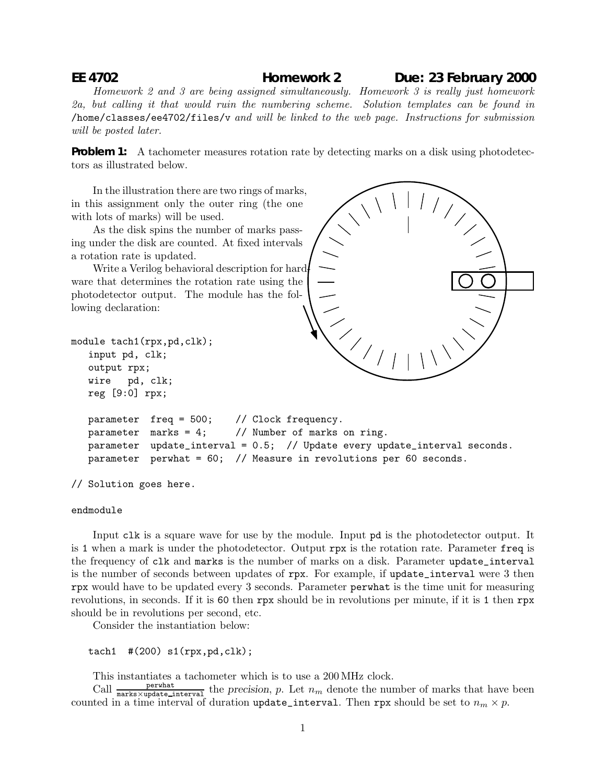## **EE 4702 Homework 2 Due: 23 February 2000**

Homework 2 and 3 are being assigned simultaneously. Homework 3 is really just homework 2a, but calling it that would ruin the numbering scheme. Solution templates can be found in /home/classes/ee4702/files/v and will be linked to the web page. Instructions for submission will be posted later.

**Problem 1:** A tachometer measures rotation rate by detecting marks on a disk using photodetectors as illustrated below.

In the illustration there are two rings of marks, in this assignment only the outer ring (the one with lots of marks) will be used.

As the disk spins the number of marks passing under the disk are counted. At fixed intervals a rotation rate is updated.

Write a Verilog behavioral description for hardware that determines the rotation rate using the photodetector output. The module has the following declaration:



```
parameter freq = 500; // Clock frequency.
parameter marks = 4; // Number of marks on ring.
parameter update_interval = 0.5; // Update every update_interval seconds.
parameter perwhat = 60; // Measure in revolutions per 60 seconds.
```
// Solution goes here.

module tach1(rpx,pd,clk); input pd, clk; output rpx; wire pd, clk; reg [9:0] rpx;

## endmodule

Input clk is a square wave for use by the module. Input pd is the photodetector output. It is 1 when a mark is under the photodetector. Output rpx is the rotation rate. Parameter freq is the frequency of clk and marks is the number of marks on a disk. Parameter update\_interval is the number of seconds between updates of rpx. For example, if update\_interval were 3 then rpx would have to be updated every 3 seconds. Parameter perwhat is the time unit for measuring revolutions, in seconds. If it is 60 then rpx should be in revolutions per minute, if it is 1 then rpx should be in revolutions per second, etc.

Consider the instantiation below:

tach1  $\#$ (200) s1(rpx,pd,clk);

This instantiates a tachometer which is to use a 200MHz clock.

Call  $\frac{\text{perwhat}}{\text{marks} \times \text{update-interval}}$  the *precision*, *p*. Let  $n_m$  denote the number of marks that have been counted in a time interval of duration update\_interval. Then rpx should be set to  $n_m \times p$ .